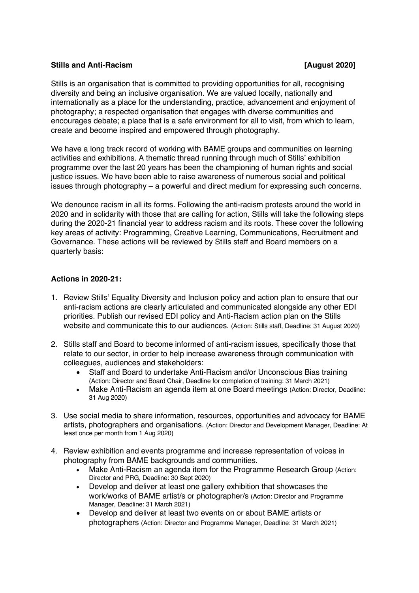## **Stills and Anti-Racism [August 2020]**

Stills is an organisation that is committed to providing opportunities for all, recognising diversity and being an inclusive organisation. We are valued locally, nationally and internationally as a place for the understanding, practice, advancement and enjoyment of photography; a respected organisation that engages with diverse communities and encourages debate; a place that is a safe environment for all to visit, from which to learn, create and become inspired and empowered through photography.

We have a long track record of working with BAME groups and communities on learning activities and exhibitions. A thematic thread running through much of Stills' exhibition programme over the last 20 years has been the championing of human rights and social justice issues. We have been able to raise awareness of numerous social and political issues through photography – a powerful and direct medium for expressing such concerns.

We denounce racism in all its forms. Following the anti-racism protests around the world in 2020 and in solidarity with those that are calling for action, Stills will take the following steps during the 2020-21 financial year to address racism and its roots. These cover the following key areas of activity: Programming, Creative Learning, Communications, Recruitment and Governance. These actions will be reviewed by Stills staff and Board members on a quarterly basis:

## **Actions in 2020-21:**

- 1. Review Stills' Equality Diversity and Inclusion policy and action plan to ensure that our anti-racism actions are clearly articulated and communicated alongside any other EDI priorities. Publish our revised EDI policy and Anti-Racism action plan on the Stills website and communicate this to our audiences. (Action: Stills staff, Deadline: 31 August 2020)
- 2. Stills staff and Board to become informed of anti-racism issues, specifically those that relate to our sector, in order to help increase awareness through communication with colleagues, audiences and stakeholders:
	- Staff and Board to undertake Anti-Racism and/or Unconscious Bias training (Action: Director and Board Chair, Deadline for completion of training: 31 March 2021)
	- Make Anti-Racism an agenda item at one Board meetings (Action: Director, Deadline: 31 Aug 2020)
- 3. Use social media to share information, resources, opportunities and advocacy for BAME artists, photographers and organisations. (Action: Director and Development Manager, Deadline: At least once per month from 1 Aug 2020)
- 4. Review exhibition and events programme and increase representation of voices in photography from BAME backgrounds and communities.
	- Make Anti-Racism an agenda item for the Programme Research Group (Action: Director and PRG, Deadline: 30 Sept 2020)
	- Develop and deliver at least one gallery exhibition that showcases the work/works of BAME artist/s or photographer/s (Action: Director and Programme Manager, Deadline: 31 March 2021)
	- Develop and deliver at least two events on or about BAME artists or photographers (Action: Director and Programme Manager, Deadline: 31 March 2021)